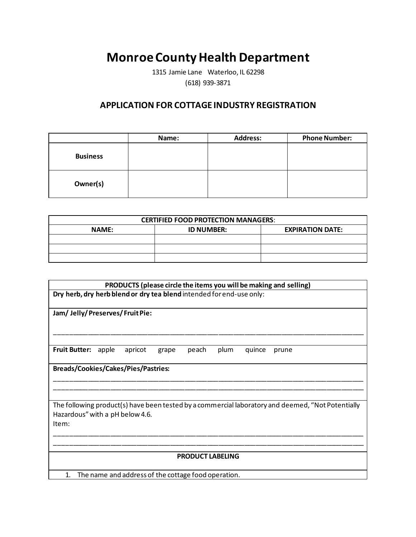## **Monroe County Health Department**

1315 Jamie Lane Waterloo, IL 62298 (618) 939-3871

## **APPLICATION FOR COTTAGE INDUSTRY REGISTRATION**

|                 | Name: | <b>Address:</b> | <b>Phone Number:</b> |
|-----------------|-------|-----------------|----------------------|
| <b>Business</b> |       |                 |                      |
| Owner(s)        |       |                 |                      |

|              | <b>CERTIFIED FOOD PROTECTION MANAGERS:</b> |                         |
|--------------|--------------------------------------------|-------------------------|
| <b>NAME:</b> | <b>ID NUMBER:</b>                          | <b>EXPIRATION DATE:</b> |
|              |                                            |                         |
|              |                                            |                         |
|              |                                            |                         |

| PRODUCTS (please circle the items you will be making and selling)                                 |  |  |  |
|---------------------------------------------------------------------------------------------------|--|--|--|
| Dry herb, dry herb blend or dry tea blend intended for end-use only:                              |  |  |  |
|                                                                                                   |  |  |  |
| Jam/Jelly/Preserves/FruitPie:                                                                     |  |  |  |
|                                                                                                   |  |  |  |
|                                                                                                   |  |  |  |
| <b>Fruit Butter:</b><br>apple<br>peach<br>plum<br>apricot<br>quince<br>grape<br>prune             |  |  |  |
| <b>Breads/Cookies/Cakes/Pies/Pastries:</b>                                                        |  |  |  |
|                                                                                                   |  |  |  |
|                                                                                                   |  |  |  |
|                                                                                                   |  |  |  |
| The following product(s) have been tested by a commercial laboratory and deemed, "Not Potentially |  |  |  |
| Hazardous" with a pH below 4.6.<br>Item:                                                          |  |  |  |
|                                                                                                   |  |  |  |
|                                                                                                   |  |  |  |
|                                                                                                   |  |  |  |
| <b>PRODUCT LABELING</b>                                                                           |  |  |  |
| 1.<br>The name and address of the cottage food operation.                                         |  |  |  |